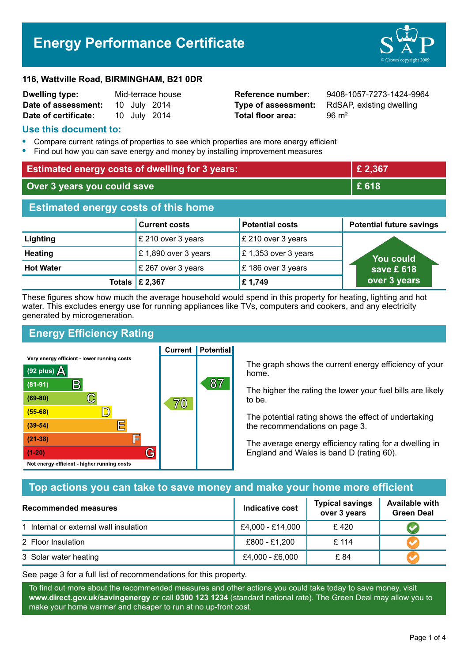# **Energy Performance Certificate**



#### **116, Wattville Road, BIRMINGHAM, B21 0DR**

| <b>Dwelling type:</b> | Mid-terrace house |  |              |
|-----------------------|-------------------|--|--------------|
| Date of assessment:   |                   |  | 10 July 2014 |
| Date of certificate:  |                   |  | 10 July 2014 |

**Total floor area:** 96 m<sup>2</sup>

**Reference number:** 9408-1057-7273-1424-9964 **Type of assessment:** RdSAP, existing dwelling

#### **Use this document to:**

- **•** Compare current ratings of properties to see which properties are more energy efficient
- **•** Find out how you can save energy and money by installing improvement measures

| <b>Estimated energy costs of dwelling for 3 years:</b> |                           | £ 2,367                |                                 |
|--------------------------------------------------------|---------------------------|------------------------|---------------------------------|
| Over 3 years you could save                            |                           | £618                   |                                 |
| <b>Estimated energy costs of this home</b>             |                           |                        |                                 |
|                                                        | <b>Current costs</b>      | <b>Potential costs</b> | <b>Potential future savings</b> |
| Lighting                                               | £ 210 over 3 years        | £ 210 over 3 years     |                                 |
| <b>Heating</b>                                         | £1,890 over 3 years       | £ 1,353 over 3 years   | <b>You could</b>                |
| <b>Hot Water</b>                                       | £ 267 over 3 years        | £186 over 3 years      | save £ $618$                    |
|                                                        | Totals $\mathsf{E}$ 2,367 | £1,749                 | over 3 years                    |

These figures show how much the average household would spend in this property for heating, lighting and hot water. This excludes energy use for running appliances like TVs, computers and cookers, and any electricity generated by microgeneration.

**Current | Potential** 

# **Energy Efficiency Rating**

Very energy efficient - lower running costs



The graph shows the current energy efficiency of your home.

The higher the rating the lower your fuel bills are likely to be.

The potential rating shows the effect of undertaking the recommendations on page 3.

The average energy efficiency rating for a dwelling in England and Wales is band D (rating 60).

# **Top actions you can take to save money and make your home more efficient**

| Recommended measures                   | Indicative cost  | <b>Typical savings</b><br>over 3 years | <b>Available with</b><br><b>Green Deal</b> |
|----------------------------------------|------------------|----------------------------------------|--------------------------------------------|
| 1 Internal or external wall insulation | £4,000 - £14,000 | £420                                   |                                            |
| 2 Floor Insulation                     | £800 - £1,200    | £114                                   |                                            |
| 3 Solar water heating                  | £4,000 - £6,000  | £ 84                                   |                                            |

See page 3 for a full list of recommendations for this property.

To find out more about the recommended measures and other actions you could take today to save money, visit **www.direct.gov.uk/savingenergy** or call **0300 123 1234** (standard national rate). The Green Deal may allow you to make your home warmer and cheaper to run at no up-front cost.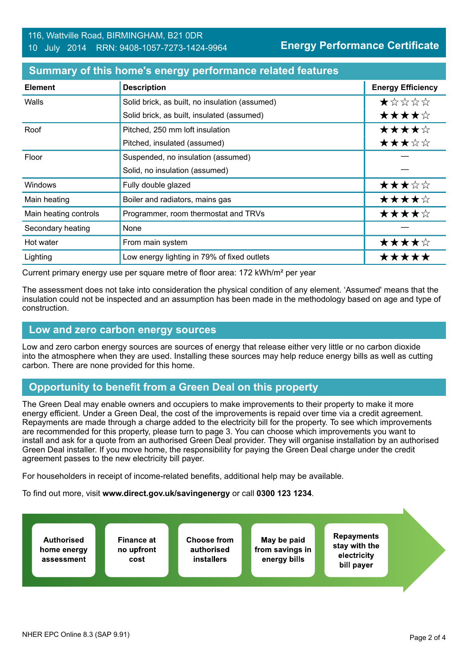| <b>Element</b>        | <b>Description</b>                             | <b>Energy Efficiency</b> |
|-----------------------|------------------------------------------------|--------------------------|
| Walls                 | Solid brick, as built, no insulation (assumed) | ★☆☆☆☆                    |
|                       | Solid brick, as built, insulated (assumed)     | ★★★★☆                    |
| Roof                  | Pitched, 250 mm loft insulation                | ★★★★☆                    |
|                       | Pitched, insulated (assumed)                   | ★★★☆☆                    |
| Floor                 | Suspended, no insulation (assumed)             |                          |
|                       | Solid, no insulation (assumed)                 |                          |
| <b>Windows</b>        | Fully double glazed                            | ★★★☆☆                    |
| Main heating          | Boiler and radiators, mains gas                | ★★★★☆                    |
| Main heating controls | Programmer, room thermostat and TRVs           | ★★★★☆                    |
| Secondary heating     | None                                           |                          |
| Hot water             | From main system                               | ★★★★☆                    |
| Lighting              | Low energy lighting in 79% of fixed outlets    | *****                    |

#### **Summary of this home's energy performance related features**

Current primary energy use per square metre of floor area: 172 kWh/m² per year

The assessment does not take into consideration the physical condition of any element. 'Assumed' means that the insulation could not be inspected and an assumption has been made in the methodology based on age and type of construction.

#### **Low and zero carbon energy sources**

Low and zero carbon energy sources are sources of energy that release either very little or no carbon dioxide into the atmosphere when they are used. Installing these sources may help reduce energy bills as well as cutting carbon. There are none provided for this home.

## **Opportunity to benefit from a Green Deal on this property**

The Green Deal may enable owners and occupiers to make improvements to their property to make it more energy efficient. Under a Green Deal, the cost of the improvements is repaid over time via a credit agreement. Repayments are made through a charge added to the electricity bill for the property. To see which improvements are recommended for this property, please turn to page 3. You can choose which improvements you want to install and ask for a quote from an authorised Green Deal provider. They will organise installation by an authorised Green Deal installer. If you move home, the responsibility for paying the Green Deal charge under the credit agreement passes to the new electricity bill payer.

For householders in receipt of income-related benefits, additional help may be available.

To find out more, visit **www.direct.gov.uk/savingenergy** or call **0300 123 1234**.

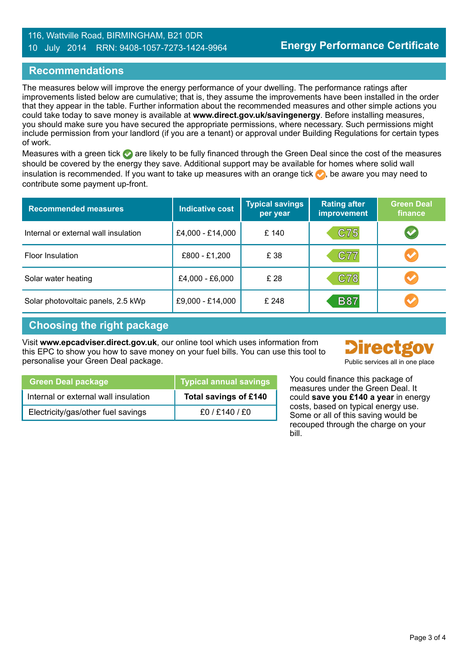#### 116, Wattville Road, BIRMINGHAM, B21 0DR 10 July 2014 RRN: 9408-1057-7273-1424-9964

## **Recommendations**

The measures below will improve the energy performance of your dwelling. The performance ratings after improvements listed below are cumulative; that is, they assume the improvements have been installed in the order that they appear in the table. Further information about the recommended measures and other simple actions you could take today to save money is available at **www.direct.gov.uk/savingenergy**. Before installing measures, you should make sure you have secured the appropriate permissions, where necessary. Such permissions might include permission from your landlord (if you are a tenant) or approval under Building Regulations for certain types of work.

Measures with a green tick are likely to be fully financed through the Green Deal since the cost of the measures should be covered by the energy they save. Additional support may be available for homes where solid wall insulation is recommended. If you want to take up measures with an orange tick  $\bullet$ , be aware you may need to contribute some payment up-front.

| <b>Recommended measures</b>          | <b>Indicative cost</b> | <b>Typical savings</b><br>per year | <b>Rating after</b><br>improvement | <b>Green Deal</b><br>finance |
|--------------------------------------|------------------------|------------------------------------|------------------------------------|------------------------------|
| Internal or external wall insulation | £4,000 - £14,000       | £ 140                              | C75                                | $\blacktriangledown$         |
| Floor Insulation                     | £800 - £1,200          | £ 38                               | C77                                | $\blacktriangledown$         |
| Solar water heating                  | £4,000 - £6,000        | £ 28                               | C78                                | $\blacktriangledown$         |
| Solar photovoltaic panels, 2.5 kWp   | £9,000 - £14,000       | £ 248                              | <b>B87</b>                         |                              |

## **Choosing the right package**

Visit **www.epcadviser.direct.gov.uk**, our online tool which uses information from this EPC to show you how to save money on your fuel bills. You can use this tool to personalise your Green Deal package. Public services all in one place



| You could finance this package of |
|-----------------------------------|
| measures under the Green Deal It  |

| <b>Green Deal package</b>            | Typical annual savings |
|--------------------------------------|------------------------|
| Internal or external wall insulation | Total savings of £140  |
| Electricity/gas/other fuel savings   | f0/F140/F0             |

me Green Deal. It could **save you £140 a year** in energy costs, based on typical energy use. Some or all of this saving would be recouped through the charge on your bill.